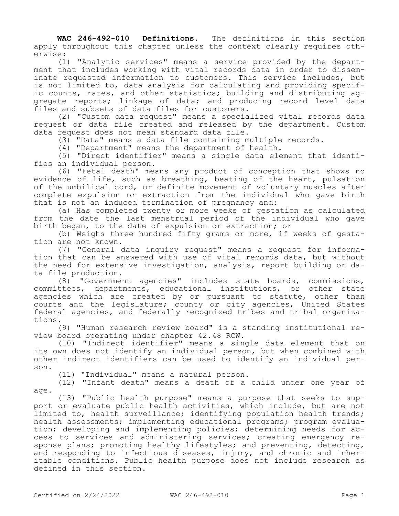**WAC 246-492-010 Definitions.** The definitions in this section apply throughout this chapter unless the context clearly requires otherwise:

(1) "Analytic services" means a service provided by the department that includes working with vital records data in order to disseminate requested information to customers. This service includes, but is not limited to, data analysis for calculating and providing specific counts, rates, and other statistics; building and distributing aggregate reports; linkage of data; and producing record level data files and subsets of data files for customers.

(2) "Custom data request" means a specialized vital records data request or data file created and released by the department. Custom data request does not mean standard data file.

(3) "Data" means a data file containing multiple records.

(4) "Department" means the department of health.

(5) "Direct identifier" means a single data element that identifies an individual person.

(6) "Fetal death" means any product of conception that shows no evidence of life, such as breathing, beating of the heart, pulsation of the umbilical cord, or definite movement of voluntary muscles after complete expulsion or extraction from the individual who gave birth that is not an induced termination of pregnancy and:

(a) Has completed twenty or more weeks of gestation as calculated from the date the last menstrual period of the individual who gave birth began, to the date of expulsion or extraction; or

(b) Weighs three hundred fifty grams or more, if weeks of gestation are not known.

(7) "General data inquiry request" means a request for information that can be answered with use of vital records data, but without the need for extensive investigation, analysis, report building or data file production.

(8) "Government agencies" includes state boards, commissions, committees, departments, educational institutions, or other state agencies which are created by or pursuant to statute, other than courts and the legislature; county or city agencies, United States federal agencies, and federally recognized tribes and tribal organizations.

(9) "Human research review board" is a standing institutional review board operating under chapter 42.48 RCW.

(10) "Indirect identifier" means a single data element that on its own does not identify an individual person, but when combined with other indirect identifiers can be used to identify an individual person.

(11) "Individual" means a natural person.

(12) "Infant death" means a death of a child under one year of age.

(13) "Public health purpose" means a purpose that seeks to support or evaluate public health activities, which include, but are not limited to, health surveillance; identifying population health trends; health assessments; implementing educational programs; program evaluation; developing and implementing policies; determining needs for access to services and administering services; creating emergency response plans; promoting healthy lifestyles; and preventing, detecting, and responding to infectious diseases, injury, and chronic and inheritable conditions. Public health purpose does not include research as defined in this section.